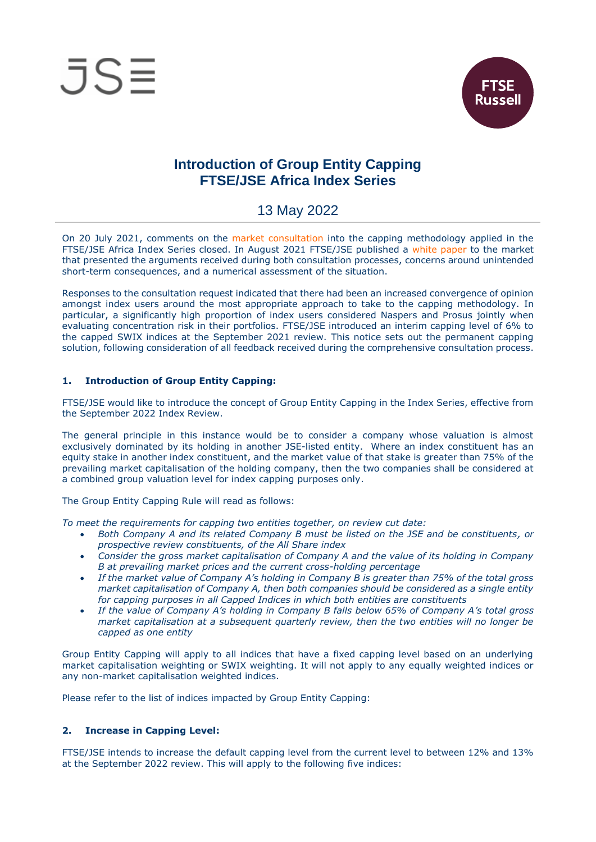



# **Introduction of Group Entity Capping FTSE/JSE Africa Index Series**

## 13 May 2022

On 20 July 2021, comments on the market [consultation](https://clientportal.jse.co.za/Content/ICANoticeItems/FTSE-JSE-Africa/20210720%20Market%20Consultation%20Naspers%20Prosus%20Capping%20UPDATED.pdf) into the capping methodology applied in the FTSE/JSE Africa Index Series closed. In August 2021 FTSE/JSE published a [white paper](https://clientportal.jse.co.za/Content/ICANoticeItems/FTSE-JSE-Africa/20210831%20White%20Paper%20Index%20Capping%20Methodology.pdf) to the market that presented the arguments received during both consultation processes, concerns around unintended short-term consequences, and a numerical assessment of the situation.

Responses to the consultation request indicated that there had been an increased convergence of opinion amongst index users around the most appropriate approach to take to the capping methodology. In particular, a significantly high proportion of index users considered Naspers and Prosus jointly when evaluating concentration risk in their portfolios. FTSE/JSE introduced an interim capping level of 6% to the capped SWIX indices at the September 2021 review. This notice sets out the permanent capping solution, following consideration of all feedback received during the comprehensive consultation process.

#### **1. Introduction of Group Entity Capping:**

FTSE/JSE would like to introduce the concept of Group Entity Capping in the Index Series, effective from the September 2022 Index Review.

The general principle in this instance would be to consider a company whose valuation is almost exclusively dominated by its holding in another JSE-listed entity. Where an index constituent has an equity stake in another index constituent, and the market value of that stake is greater than 75% of the prevailing market capitalisation of the holding company, then the two companies shall be considered at a combined group valuation level for index capping purposes only.

The Group Entity Capping Rule will read as follows:

*To meet the requirements for capping two entities together, on review cut date:*

- *Both Company A and its related Company B must be listed on the JSE and be constituents, or prospective review constituents, of the All Share index*
- *Consider the gross market capitalisation of Company A and the value of its holding in Company B at prevailing market prices and the current cross-holding percentage*
- *If the market value of Company A's holding in Company B is greater than 75% of the total gross market capitalisation of Company A, then both companies should be considered as a single entity for capping purposes in all Capped Indices in which both entities are constituents*
- *If the value of Company A's holding in Company B falls below 65% of Company A's total gross market capitalisation at a subsequent quarterly review, then the two entities will no longer be capped as one entity*

Group Entity Capping will apply to all indices that have a fixed capping level based on an underlying market capitalisation weighting or SWIX weighting. It will not apply to any equally weighted indices or any non-market capitalisation weighted indices.

Please refer to the list of indices impacted by Group Entity Capping:

### **2. Increase in Capping Level:**

FTSE/JSE intends to increase the default capping level from the current level to between 12% and 13% at the September 2022 review. This will apply to the following five indices: